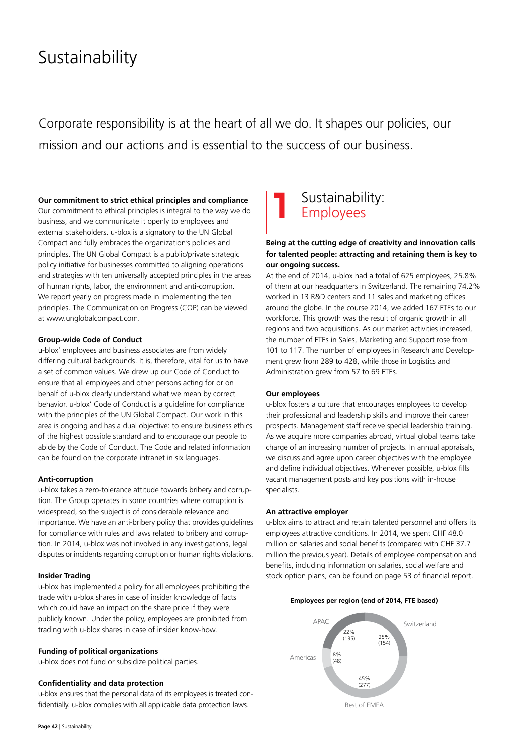# Sustainability

Corporate responsibility is at the heart of all we do. It shapes our policies, our mission and our actions and is essential to the success of our business.

#### **Our commitment to strict ethical principles and compliance**

Our commitment to ethical principles is integral to the way we do business, and we communicate it openly to employees and external stakeholders. u-blox is a signatory to the UN Global Compact and fully embraces the organization's policies and principles. The UN Global Compact is a public/private strategic policy initiative for businesses committed to aligning operations and strategies with ten universally accepted principles in the areas of human rights, labor, the environment and anti-corruption. We report yearly on progress made in implementing the ten principles. The Communication on Progress (COP) can be viewed at www.unglobalcompact.com.

#### **Group-wide Code of Conduct**

u-blox' employees and business associates are from widely differing cultural backgrounds. It is, therefore, vital for us to have a set of common values. We drew up our Code of Conduct to ensure that all employees and other persons acting for or on behalf of u-blox clearly understand what we mean by correct behavior. u-blox' Code of Conduct is a guideline for compliance with the principles of the UN Global Compact. Our work in this area is ongoing and has a dual objective: to ensure business ethics of the highest possible standard and to encourage our people to abide by the Code of Conduct. The Code and related information can be found on the corporate intranet in six languages.

#### **Anti-corruption**

u-blox takes a zero-tolerance attitude towards bribery and corruption. The Group operates in some countries where corruption is widespread, so the subject is of considerable relevance and importance. We have an anti-bribery policy that provides guidelines for compliance with rules and laws related to bribery and corruption. In 2014, u-blox was not involved in any investigations, legal disputes or incidents regarding corruption or human rights violations.

#### **Insider Trading**

u-blox has implemented a policy for all employees prohibiting the trade with u-blox shares in case of insider knowledge of facts which could have an impact on the share price if they were publicly known. Under the policy, employees are prohibited from trading with u-blox shares in case of insider know-how.

#### **Funding of political organizations**

u-blox does not fund or subsidize political parties.

#### **Confidentiality and data protection**

u-blox ensures that the personal data of its employees is treated confidentially. u-blox complies with all applicable data protection laws.

# Sustainability: Employees

# **Being at the cutting edge of creativity and innovation calls for talented people: attracting and retaining them is key to our ongoing success.**

At the end of 2014, u-blox had a total of 625 employees, 25.8% of them at our headquarters in Switzerland. The remaining 74.2% worked in 13 R&D centers and 11 sales and marketing offices around the globe. In the course 2014, we added 167 FTEs to our workforce. This growth was the result of organic growth in all regions and two acquisitions. As our market activities increased, the number of FTEs in Sales, Marketing and Support rose from 101 to 117. The number of employees in Research and Development grew from 289 to 428, while those in Logistics and Administration grew from 57 to 69 FTEs.

#### **Our employees**

u-blox fosters a culture that encourages employees to develop their professional and leadership skills and improve their career prospects. Management staff receive special leadership training. As we acquire more companies abroad, virtual global teams take charge of an increasing number of projects. In annual appraisals, we discuss and agree upon career objectives with the employee and define individual objectives. Whenever possible, u-blox fills vacant management posts and key positions with in-house specialists.

#### **An attractive employer**

u-blox aims to attract and retain talented personnel and offers its employees attractive conditions. In 2014, we spent CHF 48.0 million on salaries and social benefits (compared with CHF 37.7 million the previous year). Details of employee compensation and benefits, including information on salaries, social welfare and stock option plans, can be found on page 53 of financial report.





**Page 42** | Sustainability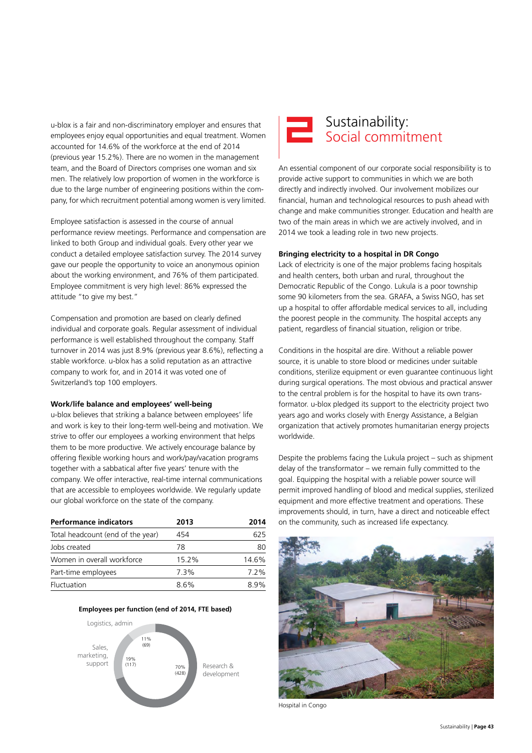u-blox is a fair and non-discriminatory employer and ensures that employees enjoy equal opportunities and equal treatment. Women accounted for 14.6% of the workforce at the end of 2014 (previous year 15.2%). There are no women in the management team, and the Board of Directors comprises one woman and six men. The relatively low proportion of women in the workforce is due to the large number of engineering positions within the company, for which recruitment potential among women is very limited.

Employee satisfaction is assessed in the course of annual performance review meetings. Performance and compensation are linked to both Group and individual goals. Every other year we conduct a detailed employee satisfaction survey. The 2014 survey gave our people the opportunity to voice an anonymous opinion about the working environment, and 76% of them participated. Employee commitment is very high level: 86% expressed the attitude "to give my best."

Compensation and promotion are based on clearly defined individual and corporate goals. Regular assessment of individual performance is well established throughout the company. Staff turnover in 2014 was just 8.9% (previous year 8.6%), reflecting a stable workforce. u-blox has a solid reputation as an attractive company to work for, and in 2014 it was voted one of Switzerland's top 100 employers.

#### **Work/life balance and employees' well-being**

u-blox believes that striking a balance between employees' life and work is key to their long-term well-being and motivation. We strive to offer our employees a working environment that helps them to be more productive. We actively encourage balance by offering flexible working hours and work/pay/vacation programs together with a sabbatical after five years' tenure with the company. We offer interactive, real-time internal communications that are accessible to employees worldwide. We regularly update our global workforce on the state of the company.

| <b>Performance indicators</b>     | 2013  | 2014  |
|-----------------------------------|-------|-------|
| Total headcount (end of the year) | 454   | 625   |
| Jobs created                      | 78    | 80    |
| Women in overall workforce        | 15.2% | 14.6% |
| Part-time employees               | 7.3%  | 7.2%  |
| Fluctuation                       | 86%   | ጸ ዓ%  |







An essential component of our corporate social responsibility is to provide active support to communities in which we are both directly and indirectly involved. Our involvement mobilizes our financial, human and technological resources to push ahead with change and make communities stronger. Education and health are two of the main areas in which we are actively involved, and in 2014 we took a leading role in two new projects.

#### **Bringing electricity to a hospital in DR Congo**

Lack of electricity is one of the major problems facing hospitals and health centers, both urban and rural, throughout the Democratic Republic of the Congo. Lukula is a poor township some 90 kilometers from the sea. GRAFA, a Swiss NGO, has set up a hospital to offer affordable medical services to all, including the poorest people in the community. The hospital accepts any patient, regardless of financial situation, religion or tribe.

Conditions in the hospital are dire. Without a reliable power source, it is unable to store blood or medicines under suitable conditions, sterilize equipment or even guarantee continuous light during surgical operations. The most obvious and practical answer to the central problem is for the hospital to have its own transformator. u-blox pledged its support to the electricity project two years ago and works closely with Energy Assistance, a Belgian organization that actively promotes humanitarian energy projects worldwide.

Despite the problems facing the Lukula project – such as shipment delay of the transformator – we remain fully committed to the goal. Equipping the hospital with a reliable power source will permit improved handling of blood and medical supplies, sterilized equipment and more effective treatment and operations. These improvements should, in turn, have a direct and noticeable effect on the community, such as increased life expectancy.



Hospital in Congo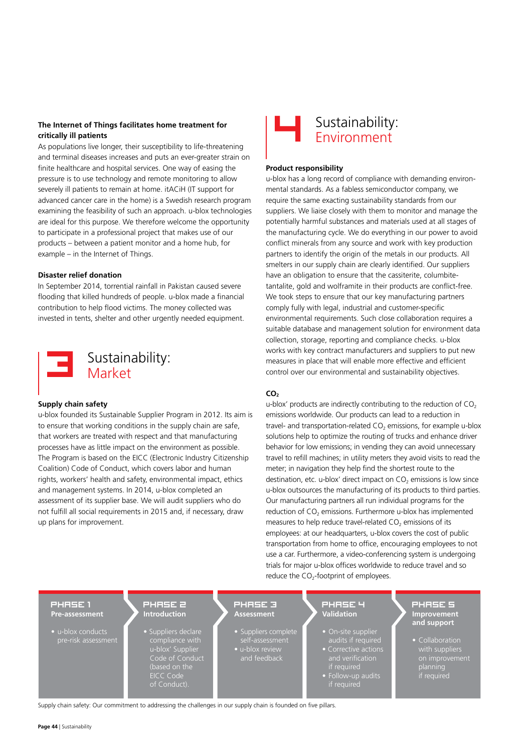# **The Internet of Things facilitates home treatment for critically ill patients**

As populations live longer, their susceptibility to life-threatening and terminal diseases increases and puts an ever-greater strain on finite healthcare and hospital services. One way of easing the pressure is to use technology and remote monitoring to allow severely ill patients to remain at home. itACiH (IT support for advanced cancer care in the home) is a Swedish research program examining the feasibility of such an approach. u-blox technologies are ideal for this purpose. We therefore welcome the opportunity to participate in a professional project that makes use of our products – between a patient monitor and a home hub, for example – in the Internet of Things.

#### **Disaster relief donation**

In September 2014, torrential rainfall in Pakistan caused severe flooding that killed hundreds of people. u-blox made a financial contribution to help flood victims. The money collected was invested in tents, shelter and other urgently needed equipment.



Sustainability: Market

#### **Supply chain safety**

u-blox founded its Sustainable Supplier Program in 2012. Its aim is to ensure that working conditions in the supply chain are safe, that workers are treated with respect and that manufacturing processes have as little impact on the environment as possible. The Program is based on the EICC (Electronic Industry Citizenship Coalition) Code of Conduct, which covers labor and human rights, workers' health and safety, environmental impact, ethics and management systems. In 2014, u-blox completed an assessment of its supplier base. We will audit suppliers who do not fulfill all social requirements in 2015 and, if necessary, draw up plans for improvement.



#### **Product responsibility**

u-blox has a long record of compliance with demanding environmental standards. As a fabless semiconductor company, we require the same exacting sustainability standards from our suppliers. We liaise closely with them to monitor and manage the potentially harmful substances and materials used at all stages of the manufacturing cycle. We do everything in our power to avoid conflict minerals from any source and work with key production partners to identify the origin of the metals in our products. All smelters in our supply chain are clearly identified. Our suppliers have an obligation to ensure that the cassiterite, columbitetantalite, gold and wolframite in their products are conflict-free. We took steps to ensure that our key manufacturing partners comply fully with legal, industrial and customer-specific environmental requirements. Such close collaboration requires a suitable database and management solution for environment data collection, storage, reporting and compliance checks. u-blox works with key contract manufacturers and suppliers to put new measures in place that will enable more effective and efficient control over our environmental and sustainability objectives.

#### **CO2**

u-blox' products are indirectly contributing to the reduction of  $CO<sub>2</sub>$ emissions worldwide. Our products can lead to a reduction in travel- and transportation-related  $CO<sub>2</sub>$  emissions, for example u-blox solutions help to optimize the routing of trucks and enhance driver behavior for low emissions; in vending they can avoid unnecessary travel to refill machines; in utility meters they avoid visits to read the meter; in navigation they help find the shortest route to the destination, etc. u-blox' direct impact on  $CO<sub>2</sub>$  emissions is low since u-blox outsources the manufacturing of its products to third parties. Our manufacturing partners all run individual programs for the reduction of  $CO<sub>2</sub>$  emissions. Furthermore u-blox has implemented measures to help reduce travel-related  $CO<sub>2</sub>$  emissions of its employees: at our headquarters, u-blox covers the cost of public transportation from home to office, encouraging employees to not use a car. Furthermore, a video-conferencing system is undergoing trials for major u-blox offices worldwide to reduce travel and so reduce the  $CO<sub>2</sub>$ -footprint of employees.

#### PHASE 1 **Pre-assessment**

- u-blox conducts pre-risk assessment
- PHASE 2 **Introduction**

• Suppliers declare u-blox' Supplier Code of Conduct (based on the EICC Code of Conduct).

- PHASE 3 **Assessment**
	- Suppliers complete self-assessment
		- u-blox review and feedback

# PHASE 4 **Validation**

- On-site supplier
- if required • Follow-up audits
- if required

PHASE 5 **Improvement and support**

• Collaboration planning planting<br>if required

Supply chain safety: Our commitment to addressing the challenges in our supply chain is founded on five pillars.